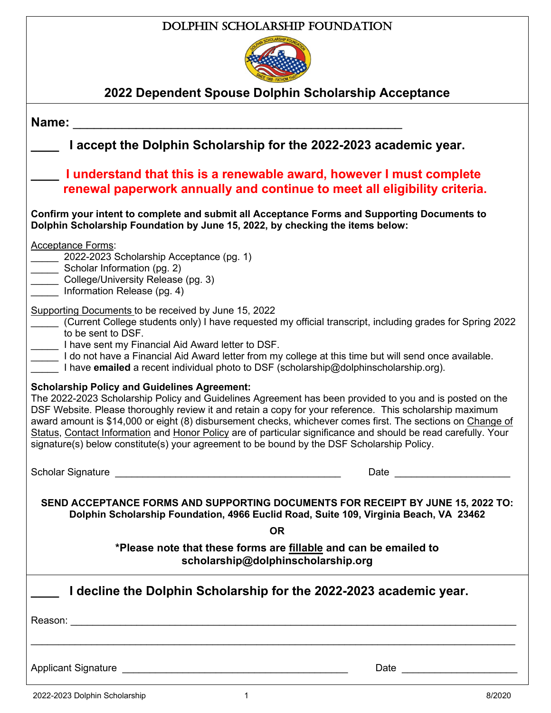### Dolphin Scholarship Foundation



# **2022 Dependent Spouse Dolphin Scholarship Acceptance**

| Name:                                                                                                                                                                                                                                                                                                                                                                                                                                                                                                                                                                                                    |  |
|----------------------------------------------------------------------------------------------------------------------------------------------------------------------------------------------------------------------------------------------------------------------------------------------------------------------------------------------------------------------------------------------------------------------------------------------------------------------------------------------------------------------------------------------------------------------------------------------------------|--|
| I accept the Dolphin Scholarship for the 2022-2023 academic year.                                                                                                                                                                                                                                                                                                                                                                                                                                                                                                                                        |  |
| I understand that this is a renewable award, however I must complete<br>renewal paperwork annually and continue to meet all eligibility criteria.                                                                                                                                                                                                                                                                                                                                                                                                                                                        |  |
| Confirm your intent to complete and submit all Acceptance Forms and Supporting Documents to<br>Dolphin Scholarship Foundation by June 15, 2022, by checking the items below:                                                                                                                                                                                                                                                                                                                                                                                                                             |  |
| <b>Acceptance Forms:</b><br>__ 2022-2023 Scholarship Acceptance (pg. 1)<br>Scholar Information (pg. 2)<br>College/University Release (pg. 3)<br>Information Release (pg. 4)                                                                                                                                                                                                                                                                                                                                                                                                                              |  |
| Supporting Documents to be received by June 15, 2022<br>(Current College students only) I have requested my official transcript, including grades for Spring 2022<br>to be sent to DSF.<br>I have sent my Financial Aid Award letter to DSF.<br>I do not have a Financial Aid Award letter from my college at this time but will send once available.<br>I have <b>emailed</b> a recent individual photo to DSF (scholarship@dolphinscholarship.org).                                                                                                                                                    |  |
| <b>Scholarship Policy and Guidelines Agreement:</b><br>The 2022-2023 Scholarship Policy and Guidelines Agreement has been provided to you and is posted on the<br>DSF Website. Please thoroughly review it and retain a copy for your reference. This scholarship maximum<br>award amount is \$14,000 or eight (8) disbursement checks, whichever comes first. The sections on Change of<br>Status, Contact Information and Honor Policy are of particular significance and should be read carefully. Your<br>signature(s) below constitute(s) your agreement to be bound by the DSF Scholarship Policy. |  |
| Date                                                                                                                                                                                                                                                                                                                                                                                                                                                                                                                                                                                                     |  |
| SEND ACCEPTANCE FORMS AND SUPPORTING DOCUMENTS FOR RECEIPT BY JUNE 15, 2022 TO:<br>Dolphin Scholarship Foundation, 4966 Euclid Road, Suite 109, Virginia Beach, VA 23462                                                                                                                                                                                                                                                                                                                                                                                                                                 |  |
| <b>OR</b>                                                                                                                                                                                                                                                                                                                                                                                                                                                                                                                                                                                                |  |
| *Please note that these forms are fillable and can be emailed to<br>scholarship@dolphinscholarship.org                                                                                                                                                                                                                                                                                                                                                                                                                                                                                                   |  |
| I decline the Dolphin Scholarship for the 2022-2023 academic year.                                                                                                                                                                                                                                                                                                                                                                                                                                                                                                                                       |  |
|                                                                                                                                                                                                                                                                                                                                                                                                                                                                                                                                                                                                          |  |
|                                                                                                                                                                                                                                                                                                                                                                                                                                                                                                                                                                                                          |  |
|                                                                                                                                                                                                                                                                                                                                                                                                                                                                                                                                                                                                          |  |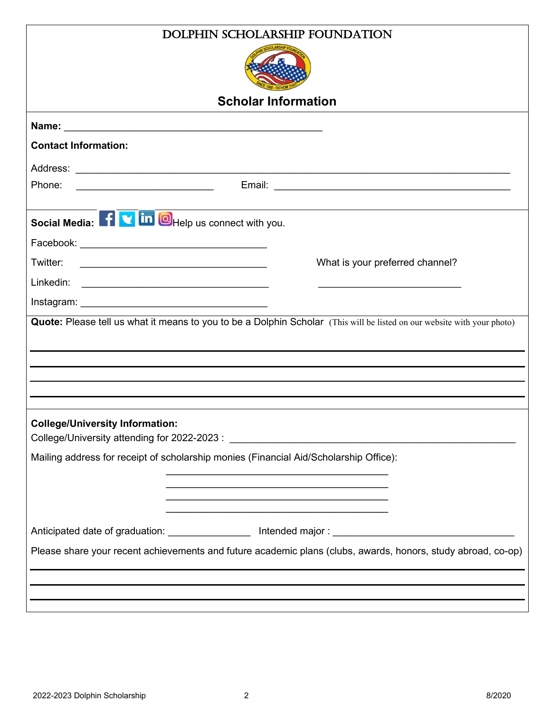| DOLPHIN SCHOLARSHIP FOUNDATION                                                                                                                                       |  |  |
|----------------------------------------------------------------------------------------------------------------------------------------------------------------------|--|--|
|                                                                                                                                                                      |  |  |
| <b>Scholar Information</b>                                                                                                                                           |  |  |
|                                                                                                                                                                      |  |  |
| <b>Contact Information:</b>                                                                                                                                          |  |  |
|                                                                                                                                                                      |  |  |
| Phone:                                                                                                                                                               |  |  |
| Social Media: 1 <b>V</b> in <b>O</b> Help us connect with you.                                                                                                       |  |  |
|                                                                                                                                                                      |  |  |
| Twitter:<br>What is your preferred channel?<br><u> 1989 - Johann Barbara, martin amerikan basar dan basa dan basa dan basa dalam basa dalam basa dalam basa dala</u> |  |  |
|                                                                                                                                                                      |  |  |
|                                                                                                                                                                      |  |  |
| Quote: Please tell us what it means to you to be a Dolphin Scholar (This will be listed on our website with your photo)                                              |  |  |
|                                                                                                                                                                      |  |  |
|                                                                                                                                                                      |  |  |
|                                                                                                                                                                      |  |  |
|                                                                                                                                                                      |  |  |
| <b>College/University Information:</b>                                                                                                                               |  |  |
| Mailing address for receipt of scholarship monies (Financial Aid/Scholarship Office):                                                                                |  |  |
|                                                                                                                                                                      |  |  |
|                                                                                                                                                                      |  |  |
|                                                                                                                                                                      |  |  |
|                                                                                                                                                                      |  |  |
| Please share your recent achievements and future academic plans (clubs, awards, honors, study abroad, co-op)                                                         |  |  |
| and the control of the control of the control of the control of the control of the control of the control of the                                                     |  |  |
| <u> 1989 - Jan Samuel Barbara, margaret a shekara ta 1989 - An tsara tsara tsara tsara tsara tsara tsara tsara t</u>                                                 |  |  |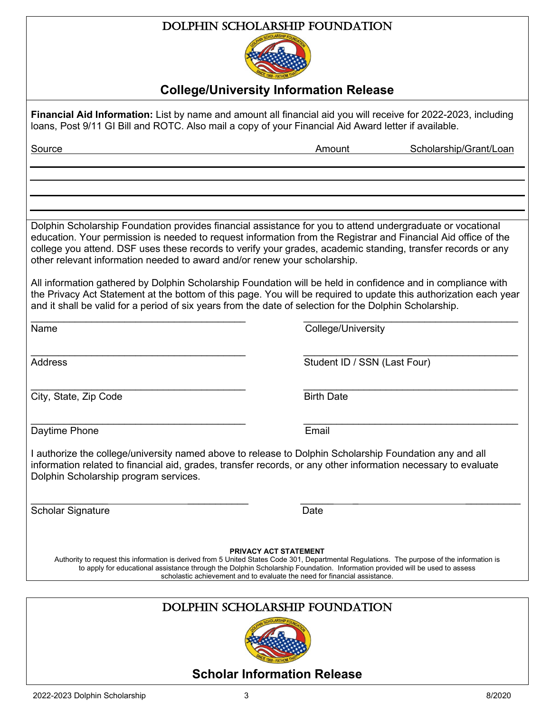#### Dolphin Scholarship Foundation



#### **College/University Information Release**

**Financial Aid Information:** List by name and amount all financial aid you will receive for 2022-2023, including loans, Post 9/11 GI Bill and ROTC. Also mail a copy of your Financial Aid Award letter if available.

Source **Amount Scholarship/Grant/Loan** 

Dolphin Scholarship Foundation provides financial assistance for you to attend undergraduate or vocational education. Your permission is needed to request information from the Registrar and Financial Aid office of the college you attend. DSF uses these records to verify your grades, academic standing, transfer records or any other relevant information needed to award and/or renew your scholarship.

All information gathered by Dolphin Scholarship Foundation will be held in confidence and in compliance with the Privacy Act Statement at the bottom of this page. You will be required to update this authorization each year and it shall be valid for a period of six years from the date of selection for the Dolphin Scholarship.

\_\_\_\_\_\_\_\_\_\_\_\_\_\_\_\_\_\_\_\_\_\_\_\_\_\_\_\_\_\_\_\_\_\_\_\_\_\_\_ \_\_\_\_\_\_\_\_\_\_\_\_\_\_\_\_\_\_\_\_\_\_\_\_\_\_\_\_\_\_\_\_\_\_\_\_\_\_\_

 $\_$  , and the contribution of the contribution of  $\overline{\mathcal{L}}$  , and  $\overline{\mathcal{L}}$  , and  $\overline{\mathcal{L}}$  , and  $\overline{\mathcal{L}}$  , and  $\overline{\mathcal{L}}$ 

 $\_$  , and the contribution of the contribution of  $\overline{\mathcal{L}}$  , and  $\overline{\mathcal{L}}$  , and  $\overline{\mathcal{L}}$  , and  $\overline{\mathcal{L}}$  , and  $\overline{\mathcal{L}}$ 

Name College/University

\_\_\_\_\_\_\_\_\_\_\_\_\_\_\_\_\_\_\_\_\_\_\_\_\_\_\_\_\_\_\_\_\_\_\_\_\_\_\_ \_\_\_\_\_\_\_\_\_\_\_\_\_\_\_\_\_\_\_\_\_\_\_\_\_\_\_\_\_\_\_\_\_\_\_\_\_\_\_ Address **Student ID / SSN (Last Four)** 

City, State, Zip Code Birth Date

Daytime Phone **Email** 

I authorize the college/university named above to release to Dolphin Scholarship Foundation any and all information related to financial aid, grades, transfer records, or any other information necessary to evaluate Dolphin Scholarship program services.

 $\overline{\phantom{a}}$  , and the contract of the contract of the contract of the contract of the contract of the contract of the contract of the contract of the contract of the contract of the contract of the contract of the contrac Scholar Signature Date

**PRIVACY ACT STATEMENT**

Authority to request this information is derived from 5 United States Code 301, Departmental Regulations. The purpose of the information is to apply for educational assistance through the Dolphin Scholarship Foundation. Information provided will be used to assess scholastic achievement and to evaluate the need for financial assistance.